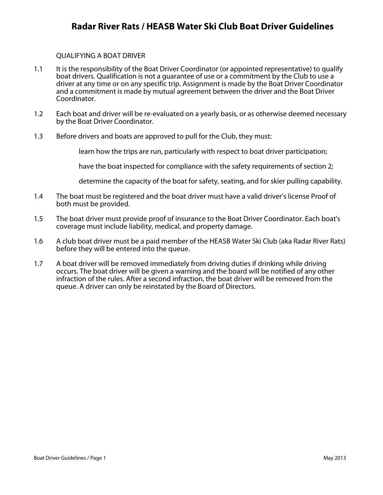# **Radar River Rats / HEASB Water Ski Club Boat Driver Guidelines**

### QUALIFYING A BOAT DRIVER

- 1.1 It is the responsibility of the Boat Driver Coordinator (or appointed representative) to qualify boat drivers. Qualification is not a guarantee of use or a commitment by the Club to use a driver at any time or on any specific trip. Assignment is made by the Boat Driver Coordinator and a commitment is made by mutual agreement between the driver and the Boat Driver Coordinator.
- 1.2 Each boat and driver will be re-evaluated on a yearly basis, or as otherwise deemed necessary by the Boat Driver Coordinator.
- 1.3 Before drivers and boats are approved to pull for the Club, they must:

learn how the trips are run, particularly with respect to boat driver participation;

have the boat inspected for compliance with the safety requirements of section 2;

determine the capacity of the boat for safety, seating, and for skier pulling capability.

- 1.4 The boat must be registered and the boat driver must have a valid driver's license Proof of both must be provided.
- 1.5 The boat driver must provide proof of insurance to the Boat Driver Coordinator. Each boat's coverage must include liability, medical, and property damage.
- 1.6 A club boat driver must be a paid member of the HEASB Water Ski Club (aka Radar River Rats) before they will be entered into the queue.
- 1.7 A boat driver will be removed immediately from driving duties if drinking while driving occurs. The boat driver will be given a warning and the board will be notified of any other infraction of the rules. After a second infraction, the boat driver will be removed from the queue. A driver can only be reinstated by the Board of Directors.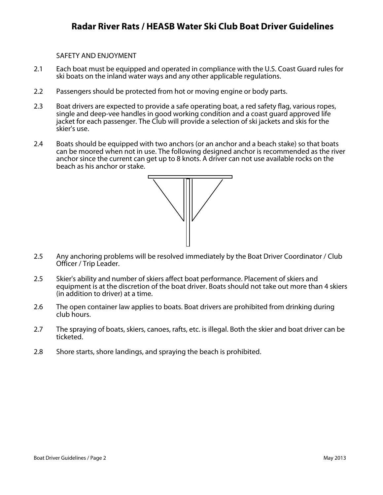SAFETY AND ENJOYMENT

- 2.1 Each boat must be equipped and operated in compliance with the U.S. Coast Guard rules for ski boats on the inland water ways and any other applicable regulations.
- 2.2 Passengers should be protected from hot or moving engine or body parts.
- 2.3 Boat drivers are expected to provide a safe operating boat, a red safety flag, various ropes, single and deep-vee handles in good working condition and a coast guard approved life jacket for each passenger. The Club will provide a selection of ski jackets and skis for the skier's use.
- 2.4 Boats should be equipped with two anchors (or an anchor and a beach stake) so that boats can be moored when not in use. The following designed anchor is recommended as the river anchor since the current can get up to 8 knots. A driver can not use available rocks on the beach as his anchor or stake.



- 2.5 Any anchoring problems will be resolved immediately by the Boat Driver Coordinator / Club Officer / Trip Leader.
- 2.5 Skier's ability and number of skiers affect boat performance. Placement of skiers and equipment is at the discretion of the boat driver. Boats should not take out more than 4 skiers (in addition to driver) at a time.
- 2.6 The open container law applies to boats. Boat drivers are prohibited from drinking during club hours.
- 2.7 The spraying of boats, skiers, canoes, rafts, etc. is illegal. Both the skier and boat driver can be ticketed.
- 2.8 Shore starts, shore landings, and spraying the beach is prohibited.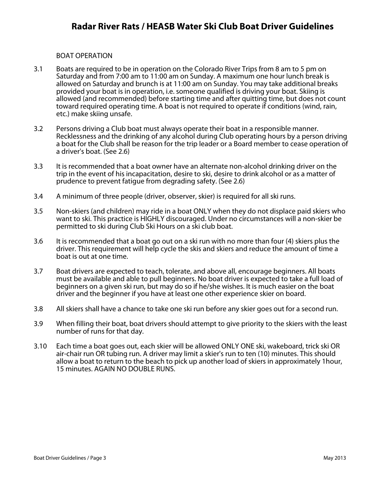## BOAT OPERATION

- 3.1 Boats are required to be in operation on the Colorado River Trips from 8 am to 5 pm on Saturday and from 7:00 am to 11:00 am on Sunday. A maximum one hour lunch break is allowed on Saturday and brunch is at 11:00 am on Sunday. You may take additional breaks provided your boat is in operation, i.e. someone qualified is driving your boat. Skiing is allowed (and recommended) before starting time and after quitting time, but does not count toward required operating time. A boat is not required to operate if conditions (wind, rain, etc.) make skiing unsafe.
- 3.2 Persons driving a Club boat must always operate their boat in a responsible manner. Recklessness and the drinking of any alcohol during Club operating hours by a person driving a boat for the Club shall be reason for the trip leader or a Board member to cease operation of a driver's boat. (See 2.6)
- 3.3 It is recommended that a boat owner have an alternate non-alcohol drinking driver on the trip in the event of his incapacitation, desire to ski, desire to drink alcohol or as a matter of prudence to prevent fatigue from degrading safety. (See 2.6)
- 3.4 A minimum of three people (driver, observer, skier) is required for all ski runs.
- 3.5 Non-skiers (and children) may ride in a boat ONLY when they do not displace paid skiers who want to ski. This practice is HIGHLY discouraged. Under no circumstances will a non-skier be permitted to ski during Club Ski Hours on a ski club boat.
- 3.6 It is recommended that a boat go out on a ski run with no more than four (4) skiers plus the driver. This requirement will help cycle the skis and skiers and reduce the amount of time a boat is out at one time.
- 3.7 Boat drivers are expected to teach, tolerate, and above all, encourage beginners. All boats must be available and able to pull beginners. No boat driver is expected to take a full load of beginners on a given ski run, but may do so if he/she wishes. It is much easier on the boat driver and the beginner if you have at least one other experience skier on board.
- 3.8 All skiers shall have a chance to take one ski run before any skier goes out for a second run.
- 3.9 When filling their boat, boat drivers should attempt to give priority to the skiers with the least number of runs for that day.
- 3.10 Each time a boat goes out, each skier will be allowed ONLY ONE ski, wakeboard, trick ski OR air-chair run OR tubing run. A driver may limit a skier's run to ten (10) minutes. This should allow a boat to return to the beach to pick up another load of skiers in approximately 1hour, 15 minutes. AGAIN NO DOUBLE RUNS.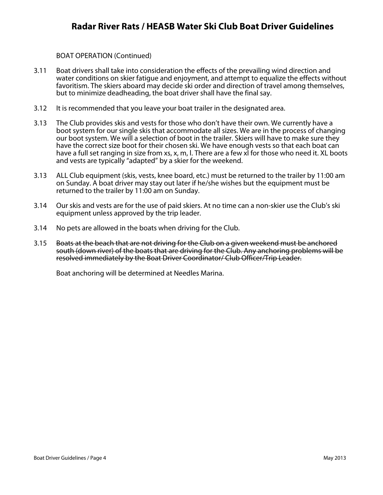## BOAT OPERATION (Continued)

- 3.11 Boat drivers shall take into consideration the effects of the prevailing wind direction and water conditions on skier fatigue and enjoyment, and attempt to equalize the effects without favoritism. The skiers aboard may decide ski order and direction of travel among themselves, but to minimize deadheading, the boat driver shall have the final say.
- 3.12 It is recommended that you leave your boat trailer in the designated area.
- 3.13 The Club provides skis and vests for those who don't have their own. We currently have a boot system for our single skis that accommodate all sizes. We are in the process of changing our boot system. We will a selection of boot in the trailer. Skiers will have to make sure they have the correct size boot for their chosen ski. We have enough vests so that each boat can have a full set ranging in size from xs, x, m, l. There are a few xl for those who need it. XL boots and vests are typically "adapted" by a skier for the weekend.
- 3.13 ALL Club equipment (skis, vests, knee board, etc.) must be returned to the trailer by 11:00 am on Sunday. A boat driver may stay out later if he/she wishes but the equipment must be returned to the trailer by 11:00 am on Sunday.
- 3.14 Our skis and vests are for the use of paid skiers. At no time can a non-skier use the Club's ski equipment unless approved by the trip leader.
- 3.14 No pets are allowed in the boats when driving for the Club.
- 3.15 Boats at the beach that are not driving for the Club on a given weekend must be anchored south (down river) of the boats that are driving for the Club. Any anchoring problems will be resolved immediately by the Boat Driver Coordinator/ Club Officer/Trip Leader.

Boat anchoring will be determined at Needles Marina.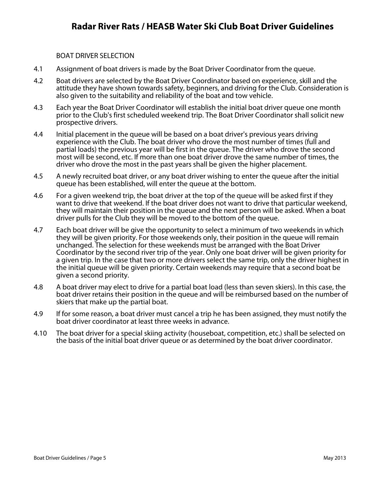### BOAT DRIVER SELECTION

- 4.1 Assignment of boat drivers is made by the Boat Driver Coordinator from the queue.
- 4.2 Boat drivers are selected by the Boat Driver Coordinator based on experience, skill and the attitude they have shown towards safety, beginners, and driving for the Club. Consideration is also given to the suitability and reliability of the boat and tow vehicle.
- 4.3 Each year the Boat Driver Coordinator will establish the initial boat driver queue one month prior to the Club's first scheduled weekend trip. The Boat Driver Coordinator shall solicit new prospective drivers.
- 4.4 Initial placement in the queue will be based on a boat driver's previous years driving experience with the Club. The boat driver who drove the most number of times (full and partial loads) the previous year will be first in the queue. The driver who drove the second most will be second, etc. If more than one boat driver drove the same number of times, the driver who drove the most in the past years shall be given the higher placement.
- 4.5 A newly recruited boat driver, or any boat driver wishing to enter the queue after the initial queue has been established, will enter the queue at the bottom.
- 4.6 For a given weekend trip, the boat driver at the top of the queue will be asked first if they want to drive that weekend. If the boat driver does not want to drive that particular weekend, they will maintain their position in the queue and the next person will be asked. When a boat driver pulls for the Club they will be moved to the bottom of the queue.
- 4.7 Each boat driver will be give the opportunity to select a minimum of two weekends in which they will be given priority. For those weekends only, their position in the queue will remain unchanged. The selection for these weekends must be arranged with the Boat Driver Coordinator by the second river trip of the year. Only one boat driver will be given priority for a given trip. In the case that two or more drivers select the same trip, only the driver highest in the initial queue will be given priority. Certain weekends may require that a second boat be given a second priority.
- 4.8 A boat driver may elect to drive for a partial boat load (less than seven skiers). In this case, the boat driver retains their position in the queue and will be reimbursed based on the number of skiers that make up the partial boat.
- 4.9 If for some reason, a boat driver must cancel a trip he has been assigned, they must notify the boat driver coordinator at least three weeks in advance.
- 4.10 The boat driver for a special skiing activity (houseboat, competition, etc.) shall be selected on the basis of the initial boat driver queue or as determined by the boat driver coordinator.